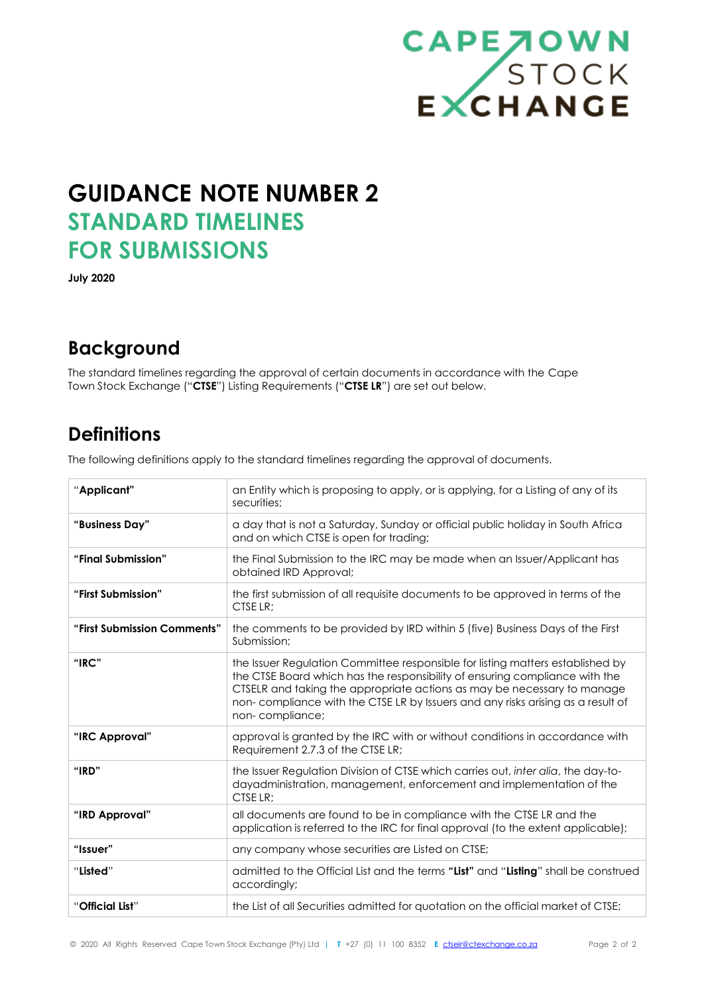

# **GUIDANCE NOTE NUMBER 2 STANDARD TIMELINES FOR SUBMISSIONS**

**July 2020**

### **Background**

The standard timelines regarding the approval of certain documents in accordance with the Cape Town Stock Exchange ("**CTSE**") Listing Requirements ("**CTSE LR**") are set out below.

### **Definitions**

The following definitions apply to the standard timelines regarding the approval of documents.

| "Applicant"                 | an Entity which is proposing to apply, or is applying, for a Listing of any of its<br>securities:                                                                                                                                                                                                                                              |  |
|-----------------------------|------------------------------------------------------------------------------------------------------------------------------------------------------------------------------------------------------------------------------------------------------------------------------------------------------------------------------------------------|--|
| "Business Day"              | a day that is not a Saturday, Sunday or official public holiday in South Africa<br>and on which CTSE is open for trading;                                                                                                                                                                                                                      |  |
| "Final Submission"          | the Final Submission to the IRC may be made when an Issuer/Applicant has<br>obtained IRD Approval;                                                                                                                                                                                                                                             |  |
| "First Submission"          | the first submission of all requisite documents to be approved in terms of the<br>CTSE LR:                                                                                                                                                                                                                                                     |  |
| "First Submission Comments" | the comments to be provided by IRD within 5 (five) Business Days of the First<br>Submission;                                                                                                                                                                                                                                                   |  |
| "IRC"                       | the Issuer Regulation Committee responsible for listing matters established by<br>the CTSE Board which has the responsibility of ensuring compliance with the<br>CTSELR and taking the appropriate actions as may be necessary to manage<br>non-compliance with the CTSE LR by Issuers and any risks arising as a result of<br>non-compliance; |  |
| "IRC Approval"              | approval is granted by the IRC with or without conditions in accordance with<br>Requirement 2.7.3 of the CTSE LR;                                                                                                                                                                                                                              |  |
| "IRD"                       | the Issuer Regulation Division of CTSE which carries out, inter alia, the day-to-<br>dayadministration, management, enforcement and implementation of the<br>CTSE LR:                                                                                                                                                                          |  |
| "IRD Approval"              | all documents are found to be in compliance with the CTSE LR and the<br>application is referred to the IRC for final approval (to the extent applicable);                                                                                                                                                                                      |  |
| "Issuer"                    | any company whose securities are Listed on CTSE;                                                                                                                                                                                                                                                                                               |  |
| "Listed"                    | admitted to the Official List and the terms "List" and "Listing" shall be construed<br>accordingly;                                                                                                                                                                                                                                            |  |
| "Official List"             | the List of all Securities admitted for quotation on the official market of CTSE;                                                                                                                                                                                                                                                              |  |